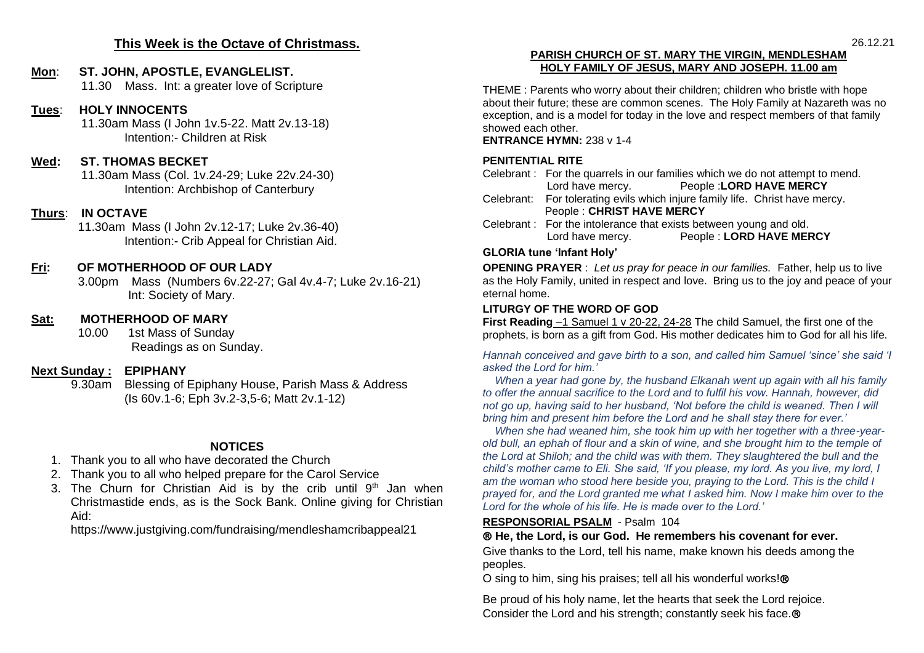### **This Week is the Octave of Christmass.**

# **Mon**: **ST. JOHN, APOSTLE, EVANGLELIST.**

11.30 Mass. Int: a greater love of Scripture

## **Tues**: **HOLY INNOCENTS**

 11.30am Mass (I John 1v.5-22. Matt 2v.13-18) Intention:- Children at Risk

## **Wed: ST. THOMAS BECKET**

 11.30am Mass (Col. 1v.24-29; Luke 22v.24-30) Intention: Archbishop of Canterbury

# **Thurs**: **IN OCTAVE**

 11.30am Mass (I John 2v.12-17; Luke 2v.36-40) Intention:- Crib Appeal for Christian Aid.

## **Fri: OF MOTHERHOOD OF OUR LADY**

 3.00pm Mass (Numbers 6v.22-27; Gal 4v.4-7; Luke 2v.16-21) Int: Society of Mary.

## **Sat: MOTHERHOOD OF MARY**

 10.00 1st Mass of Sunday Readings as on Sunday.

### **Next Sunday : EPIPHANY**

 9.30am Blessing of Epiphany House, Parish Mass & Address (Is 60v.1-6; Eph 3v.2-3,5-6; Matt 2v.1-12)

### **NOTICES**

- 1. Thank you to all who have decorated the Church
- 2. Thank you to all who helped prepare for the Carol Service
- 3. The Churn for Christian Aid is by the crib until  $9<sup>th</sup>$  Jan when Christmastide ends, as is the Sock Bank. Online giving for Christian Aid:

https://www.justgiving.com/fundraising/mendleshamcribappeal21

### **PARISH CHURCH OF ST. MARY THE VIRGIN, MENDLESHAM HOLY FAMILY OF JESUS, MARY AND JOSEPH. 11.00 am**

THEME : Parents who worry about their children; children who bristle with hope about their future; these are common scenes. The Holy Family at Nazareth was no exception, and is a model for today in the love and respect members of that family showed each other.

### **ENTRANCE HYMN:** 238 v 1-4

## **PENITENTIAL RITE**

- Celebrant : For the quarrels in our families which we do not attempt to mend. Lord have mercy. People :**LORD HAVE MERCY**
- Celebrant: For tolerating evils which injure family life. Christ have mercy. People : **CHRIST HAVE MERCY**
- Celebrant : For the intolerance that exists between young and old. Lord have mercy. People : **LORD HAVE MERCY**

### **GLORIA tune 'Infant Holy'**

**OPENING PRAYER** : *Let us pray for peace in our families.* Father, help us to live as the Holy Family, united in respect and love. Bring us to the joy and peace of your eternal home.

#### **LITURGY OF THE WORD OF GOD**

**First Reading** –1 Samuel 1 v 20-22, 24-28 The child Samuel, the first one of the prophets, is born as a gift from God. His mother dedicates him to God for all his life.

*Hannah conceived and gave birth to a son, and called him Samuel 'since' she said 'I asked the Lord for him.'*

 *When a year had gone by, the husband Elkanah went up again with all his family to offer the annual sacrifice to the Lord and to fulfil his vow. Hannah, however, did*  not go up, having said to her husband, 'Not before the child is weaned. Then I will *bring him and present him before the Lord and he shall stay there for ever.'*

 *When she had weaned him, she took him up with her together with a three-yearold bull, an ephah of flour and a skin of wine, and she brought him to the temple of the Lord at Shiloh; and the child was with them. They slaughtered the bull and the child's mother came to Eli. She said, 'If you please, my lord. As you live, my lord, I am the woman who stood here beside you, praying to the Lord. This is the child I prayed for, and the Lord granted me what I asked him. Now I make him over to the Lord for the whole of his life. He is made over to the Lord.'*

**RESPONSORIAL PSALM** - Psalm 104

### **He, the Lord, is our God. He remembers his covenant for ever.**

Give thanks to the Lord, tell his name, make known his deeds among the peoples.

O sing to him, sing his praises; tell all his wonderful works!

Be proud of his holy name, let the hearts that seek the Lord rejoice. Consider the Lord and his strength; constantly seek his face.<sup>®</sup>